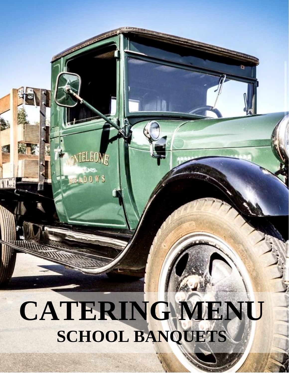